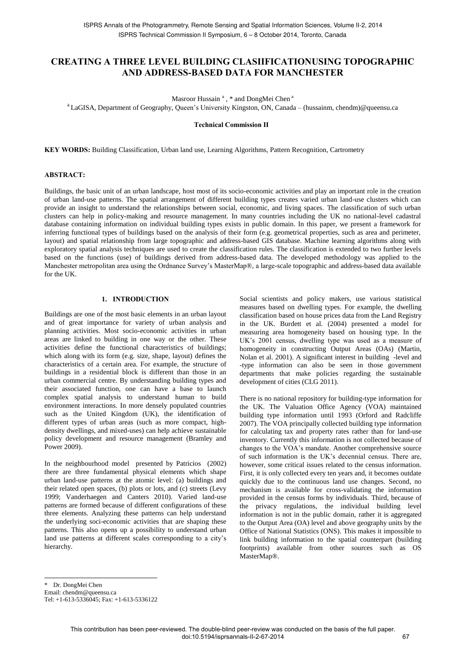# **CREATING A THREE LEVEL BUILDING CLASIIFICATIONUSING TOPOGRAPHIC AND ADDRESS-BASED DATA FOR MANCHESTER**

Masroor Hussain<sup>a</sup>, \* and DongMei Chen<sup>a</sup>

<sup>a</sup> LaGISA, Department of Geography, Queen's University Kingston, ON, Canada – (hussainm, chendm)@queensu.ca

**Technical Commission II** 

**KEY WORDS:** Building Classification, Urban land use, Learning Algorithms, Pattern Recognition, Cartrometry

#### **ABSTRACT:**

Buildings, the basic unit of an urban landscape, host most of its socio-economic activities and play an important role in the creation of urban land-use patterns. The spatial arrangement of different building types creates varied urban land-use clusters which can provide an insight to understand the relationships between social, economic, and living spaces. The classification of such urban clusters can help in policy-making and resource management. In many countries including the UK no national-level cadastral database containing information on individual building types exists in public domain. In this paper, we present a framework for inferring functional types of buildings based on the analysis of their form (e.g. geometrical properties, such as area and perimeter, layout) and spatial relationship from large topographic and address-based GIS database. Machine learning algorithms along with exploratory spatial analysis techniques are used to create the classification rules. The classification is extended to two further levels based on the functions (use) of buildings derived from address-based data. The developed methodology was applied to the Manchester metropolitan area using the Ordnance Survey"s MasterMap®, a large-scale topographic and address-based data available for the UK.

## **1. INTRODUCTION**

Buildings are one of the most basic elements in an urban layout and of great importance for variety of urban analysis and planning activities. Most socio-economic activities in urban areas are linked to building in one way or the other. These activities define the functional characteristics of buildings; which along with its form (e.g. size, shape, layout) defines the characteristics of a certain area. For example, the structure of buildings in a residential block is different than those in an urban commercial centre. By understanding building types and their associated function, one can have a base to launch complex spatial analysis to understand human to build environment interactions. In more densely populated countries such as the United Kingdom (UK), the identification of different types of urban areas (such as more compact, highdensity dwellings, and mixed-uses) can help achieve sustainable policy development and resource management (Bramley and Power 2009).

In the neighbourhood model presented by Patricios (2002) there are three fundamental physical elements which shape urban land-use patterns at the atomic level: (a) buildings and their related open spaces, (b) plots or lots, and (c) streets (Levy 1999; Vanderhaegen and Canters 2010). Varied land-use patterns are formed because of different configurations of these three elements. Analyzing these patterns can help understand the underlying soci-economic activities that are shaping these patterns. This also opens up a possibility to understand urban land use patterns at different scales corresponding to a city's hierarchy.

Social scientists and policy makers, use various statistical measures based on dwelling types. For example, the dwelling classification based on house prices data from the Land Registry in the UK. Burdett et al. (2004) presented a model for measuring area homogeneity based on housing type. In the UK"s 2001 census, dwelling type was used as a measure of homogeneity in constructing Output Areas (OAs) (Martin, Nolan et al. 2001). A significant interest in building -level and -type information can also be seen in those government departments that make policies regarding the sustainable development of cities (CLG 2011).

There is no national repository for building-type information for the UK. The Valuation Office Agency (VOA) maintained building type information until 1993 (Orford and Radcliffe 2007). The VOA principally collected building type information for calculating tax and property rates rather than for land-use inventory. Currently this information is not collected because of changes to the VOA"s mandate. Another comprehensive source of such information is the UK"s decennial census. There are, however, some critical issues related to the census information. First, it is only collected every ten years and, it becomes outdate quickly due to the continuous land use changes. Second, no mechanism is available for cross-validating the information provided in the census forms by individuals. Third, because of the privacy regulations, the individual building level information is not in the public domain, rather it is aggregated to the Output Area (OA) level and above geography units by the Office of National Statistics (ONS). This makes it impossible to link building information to the spatial counterpart (building footprints) available from other sources such as OS MasterMap®.

Dr. DongMei Chen Email: chendm@queensu.ca Tel: +1-613-5336045; Fax: +1-613-5336122

 $\overline{a}$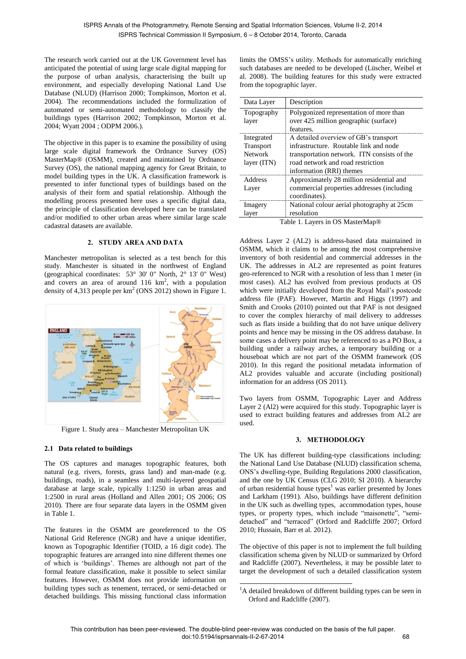The research work carried out at the UK Government level has anticipated the potential of using large scale digital mapping for the purpose of urban analysis, characterising the built up environment, and especially developing National Land Use Database (NLUD) (Harrison 2000; Tompkinson, Morton et al. 2004). The recommendations included the formulization of automated or semi-automated methodology to classify the buildings types (Harrison 2002; Tompkinson, Morton et al. 2004; Wyatt 2004 ; ODPM 2006.).

The objective in this paper is to examine the possibility of using large scale digital framework the Ordnance Survey (OS) MasterMap® (OSMM), created and maintained by Ordnance Survey (OS), the national mapping agency for Great Britain, to model building types in the UK. A classification framework is presented to infer functional types of buildings based on the analysis of their form and spatial relationship. Although the modelling process presented here uses a specific digital data, the principle of classification developed here can be translated and/or modified to other urban areas where similar large scale cadastral datasets are available.

### **2. STUDY AREA AND DATA**

Manchester metropolitan is selected as a test bench for this study. Manchester is situated in the northwest of England (geographical coordinates: 53° 30' 0" North, 2° 13' 0" West) and covers an area of around  $116 \text{ km}^2$ , with a population density of 4,313 people per  $km^2$  (ONS 2012) shown in Figure 1.



Figure 1. Study area – Manchester Metropolitan UK

# **2.1 Data related to buildings**

The OS captures and manages topographic features, both natural (e.g. rivers, forests, grass land) and man-made (e.g. buildings, roads), in a seamless and multi-layered geospatial database at large scale, typically 1:1250 in urban areas and 1:2500 in rural areas (Holland and Allen 2001; OS 2006; OS 2010). There are four separate data layers in the OSMM given in Table 1.

The features in the OSMM are georeferenced to the OS National Grid Reference (NGR) and have a unique identifier, known as Topographic Identifier (TOID, a 16 digit code). The topographic features are arranged into nine different themes one of which is "buildings". Themes are although not part of the formal feature classification, make it possible to select similar features. However, OSMM does not provide information on building types such as tenement, terraced, or semi-detached or detached buildings. This missing functional class information limits the OMSS"s utility. Methods for automatically enriching such databases are needed to be developed (Lüscher, Weibel et al. 2008). The building features for this study were extracted from the topographic layer.

| Data Layer                                        | Description                                                                                                                                                                                     |
|---------------------------------------------------|-------------------------------------------------------------------------------------------------------------------------------------------------------------------------------------------------|
| Topography<br>layer                               | Polygonized representation of more than<br>over 425 million geographic (surface)<br>features.                                                                                                   |
| Integrated<br>Transport<br>Network<br>layer (ITN) | A detailed overview of GB's transport<br>infrastructure. Routable link and node<br>transportation network. ITN consists of the<br>road network and road restriction<br>information (RRI) themes |
| Address<br>Layer                                  | Approximately 28 million residential and<br>commercial properties addresses (including<br>coordinates).                                                                                         |
| Imagery<br>layer                                  | National colour aerial photography at 25cm<br>resolution<br>$Table 1$ Lavare in $OC$ Moster Man $@$                                                                                             |

Table 1. Layers in OS MasterMap®

Address Layer 2 (AL2) is address-based data maintained in OSMM, which it claims to be among the most comprehensive inventory of both residential and commercial addresses in the UK. The addresses in AL2 are represented as point features geo-referenced to NGR with a resolution of less than 1 meter (in most cases). AL2 has evolved from previous products at OS which were initially developed from the Royal Mail"s postcode address file (PAF). However, Martin and Higgs (1997) and Smith and Crooks (2010) pointed out that PAF is not designed to cover the complex hierarchy of mail delivery to addresses such as flats inside a building that do not have unique delivery points and hence may be missing in the OS address database. In some cases a delivery point may be referenced to as a PO Box, a building under a railway arches, a temporary building or a houseboat which are not part of the OSMM framework (OS 2010). In this regard the positional metadata information of AL2 provides valuable and accurate (including positional) information for an address (OS 2011).

Two layers from OSMM, Topographic Layer and Address Layer 2 (Al2) were acquired for this study. Topographic layer is used to extract building features and addresses from AL2 are used.

# **3. METHODOLOGY**

The UK has different building-type classifications including: the National Land Use Database (NLUD) classification schema, ONS"s dwelling-type, Building Regulations 2000 classification, and the one by UK Census (CLG 2010; SI 2010). A hierarchy of urban residential house types $<sup>1</sup>$  was earlier presented by Jones</sup> and Larkham (1991). Also, buildings have different definition in the UK such as dwelling types, accommodation types, house types, or property types, which include "maisonette", "semidetached" and "terraced" (Orford and Radcliffe 2007; Orford 2010; Hussain, Barr et al. 2012).

The objective of this paper is not to implement the full building classification schema given by NLUD or summarized by Orford and Radcliffe (2007). Nevertheless, it may be possible later to target the development of such a detailed classification system

 $\overline{a}$ 

<sup>&</sup>lt;sup>1</sup>A detailed breakdown of different building types can be seen in Orford and Radcliffe (2007).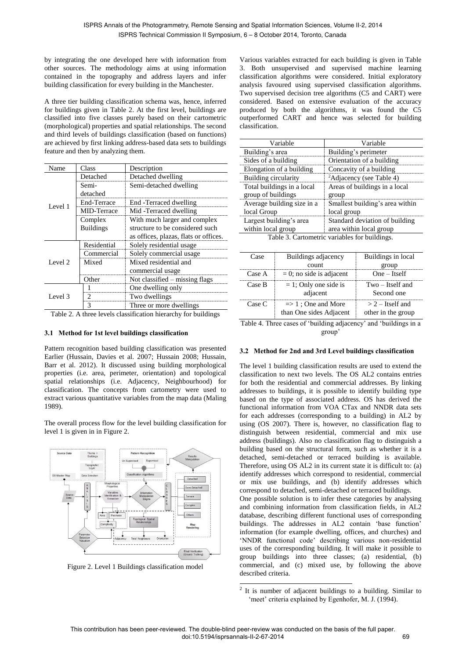by integrating the one developed here with information from other sources. The methodology aims at using information contained in the topography and address layers and infer building classification for every building in the Manchester.

A three tier building classification schema was, hence, inferred for buildings given in Table 2. At the first level, buildings are classified into five classes purely based on their cartometric (morphological) properties and spatial relationships. The second and third levels of buildings classification (based on functions) are achieved by first linking address-based data sets to buildings feature and then by analyzing them.

| Name    | Class            | Description                           |  |
|---------|------------------|---------------------------------------|--|
|         | Detached         | Detached dwelling                     |  |
|         | Semi-            | Semi-detached dwelling                |  |
|         | detached         |                                       |  |
| Level 1 | End-Terrace      | End - Terraced dwelling               |  |
|         | MID-Terrace      | Mid-Terraced dwelling                 |  |
|         | Complex          | With much larger and complex          |  |
|         | <b>Buildings</b> | structure to be considered such       |  |
|         |                  | as offices, plazas, flats or offices. |  |
|         | Residential      | Solely residential usage              |  |
|         | Commercial       | Solely commercial usage               |  |
| Level 2 | Mixed            | Mixed residential and                 |  |
|         |                  | commercial usage                      |  |
|         | ിther            | Not classified - missing flags        |  |
|         |                  | One dwelling only                     |  |
| Level 3 |                  | Two dwellings                         |  |
|         | 3                | Three or more dwellings               |  |

Table 2. A three levels classification hierarchy for buildings

### **3.1 Method for 1st level buildings classification**

Pattern recognition based building classification was presented Earlier (Hussain, Davies et al. 2007; Hussain 2008; Hussain, Barr et al. 2012). It discussed using building morphological properties (i.e. area, perimeter, orientation) and topological spatial relationships (i.e. Adjacency, Neighbourhood) for classification. The concepts from cartometry were used to extract various quantitative variables from the map data (Maling 1989).

The overall process flow for the level building classification for level 1 is given in in Figure 2.



Figure 2. Level 1 Buildings classification model

Various variables extracted for each building is given in Table 3. Both unsupervised and supervised machine learning classification algorithms were considered. Initial exploratory analysis favoured using supervised classification algorithms. Two supervised decision tree algorithms (C5 and CART) were considered. Based on extensive evaluation of the accuracy produced by both the algorithms, it was found the C5 outperformed CART and hence was selected for building classification.

| Variable                   | Variable                             |
|----------------------------|--------------------------------------|
| Building's area            | Building's perimeter                 |
| Sides of a building        | Orientation of a building            |
| Elongation of a building   | Concavity of a building              |
| Building circularity       | <sup>2</sup> Adjacency (see Table 4) |
| Total buildings in a local | Areas of buildings in a local        |
| group of buildings         | group                                |
| Average building size in a | Smallest building's area within      |
| local Group                | local group                          |
| Largest building's area    | Standard deviation of building       |
| within local group         | area within local group              |
| m 11 1 2 2 2               |                                      |

|  | Table 3. Cartometric variables for buildings. |
|--|-----------------------------------------------|
|  |                                               |

| Case.  | Buildings adjacency                                      | Buildings in local                       |  |
|--------|----------------------------------------------------------|------------------------------------------|--|
|        | count                                                    | group                                    |  |
| Case A | $= 0$ ; no side is adjacent                              | $One - itself$                           |  |
| Case B | $= 1$ ; Only one side is<br>adjacent                     | Two – Itself and<br>Second one           |  |
| Case C | $\Rightarrow$ 1; One and More<br>than One sides Adjacent | $>$ 2 – Itself and<br>other in the group |  |

Table 4. Three cases of "building adjacency" and "buildings in a group"

### **3.2 Method for 2nd and 3rd Level buildings classification**

The level 1 building classification results are used to extend the classification to next two levels. The OS AL2 contains entries for both the residential and commercial addresses. By linking addresses to buildings, it is possible to identify building type based on the type of associated address. OS has derived the functional information from VOA CTax and NNDR data sets for each addresses (corresponding to a building) in AL2 by using (OS 2007). There is, however, no classification flag to distinguish between residential, commercial and mix use address (buildings). Also no classification flag to distinguish a building based on the structural form, such as whether it is a detached, semi-detached or terraced building is available. Therefore, using OS AL2 in its current state it is difficult to: (a) identify addresses which correspond to residential, commercial or mix use buildings, and (b) identify addresses which correspond to detached, semi-detached or terraced buildings. One possible solution is to infer these categories by analysing and combining information from classification fields, in AL2 database, describing different functional uses of corresponding buildings. The addresses in AL2 contain 'base function' information (for example dwelling, offices, and churches) and "NNDR functional code" describing various non-residential uses of the corresponding building. It will make it possible to

group buildings into three classes; (a) residential, (b) commercial, and (c) mixed use, by following the above

described criteria.

 2 It is number of adjacent buildings to a building. Similar to 'meet' criteria explained by Egenhofer, M. J. (1994).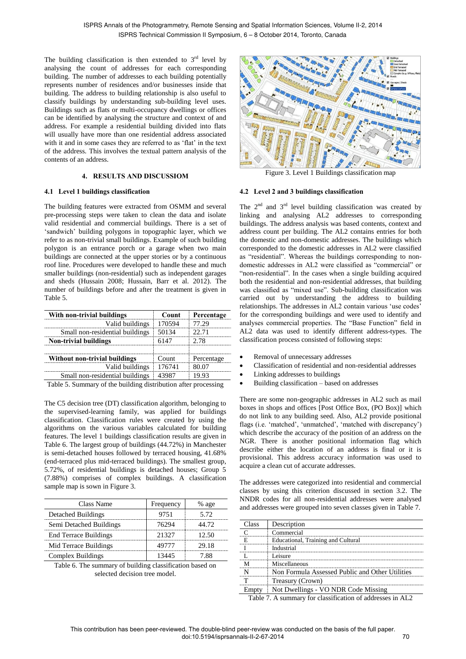The building classification is then extended to  $3<sup>rd</sup>$  level by analysing the count of addresses for each corresponding building. The number of addresses to each building potentially represents number of residences and/or businesses inside that building. The address to building relationship is also useful to classify buildings by understanding sub-building level uses. Buildings such as flats or multi-occupancy dwellings or offices can be identified by analysing the structure and context of and address. For example a residential building divided into flats will usually have more than one residential address associated with it and in some cases they are referred to as 'flat' in the text of the address. This involves the textual pattern analysis of the contents of an address.

# **4. RESULTS AND DISCUSSIOM**

### **4.1 Level 1 buildings classification**

The building features were extracted from OSMM and several pre-processing steps were taken to clean the data and isolate valid residential and commercial buildings. There is a set of 'sandwich' building polygons in topographic layer, which we refer to as non-trivial small buildings. Example of such building polygon is an entrance porch or a garage when two main buildings are connected at the upper stories or by a continuous roof line. Procedures were developed to handle these and much smaller buildings (non-residential) such as independent garages and sheds (Hussain 2008; Hussain, Barr et al. 2012). The number of buildings before and after the treatment is given in Table 5.

| With non-trivial buildings      | <b>Count</b> | Percentage |
|---------------------------------|--------------|------------|
| Valid buildings                 | 170594       |            |
| Small non-residential buildings | 50134        | 22.71      |
| <b>Non-trivial buildings</b>    | 6147         | 2.78       |
| Without non-trivial buildings   | Count        | Percentage |
| Valid buildings                 | 176741       |            |
| Small non-residential buildings |              |            |

Table 5. Summary of the building distribution after processing

The C5 decision tree (DT) classification algorithm, belonging to the supervised-learning family, was applied for buildings classification. Classification rules were created by using the algorithms on the various variables calculated for building features. The level 1 buildings classification results are given in Table 6. The largest group of buildings (44.72%) in Manchester is semi-detached houses followed by terraced housing, 41.68% (end-terraced plus mid-terraced buildings). The smallest group, 5.72%, of residential buildings is detached houses; Group 5 (7.88%) comprises of complex buildings. A classification sample map is sown in Figure 3.

| Class Name                   | Frequency | % age |
|------------------------------|-----------|-------|
| <b>Detached Buildings</b>    | 9751      | 5.72  |
| Semi Detached Buildings      | 76294     | 44 72 |
| <b>End Terrace Buildings</b> | 21327     | 12.50 |
| Mid Terrace Buildings        |           | 29.18 |
| Complex Buildings            |           | 7 88  |

Table 6. The summary of building classification based on selected decision tree model.



Figure 3. Level 1 Buildings classification map

### **4.2 Level 2 and 3 buildings classification**

The  $2<sup>nd</sup>$  and  $3<sup>rd</sup>$  level building classification was created by linking and analysing AL2 addresses to corresponding buildings. The address analysis was based contents, context and address count per building. The AL2 contains entries for both the domestic and non-domestic addresses. The buildings which corresponded to the domestic addresses in AL2 were classified as "residential". Whereas the buildings corresponding to nondomestic addresses in AL2 were classified as "commercial" or "non-residential". In the cases when a single building acquired both the residential and non-residential addresses, that building was classified as "mixed use". Sub-building classification was carried out by understanding the address to building relationships. The addresses in AL2 contain various 'use codes' for the corresponding buildings and were used to identify and analyses commercial properties. The "Base Function" field in AL2 data was used to identify different address-types. The classification process consisted of following steps:

- Removal of unnecessary addresses
- Classification of residential and non-residential addresses
- Linking addresses to buildings
- Building classification based on addresses

There are some non-geographic addresses in AL2 such as mail boxes in shops and offices [Post Office Box, (PO Box)] which do not link to any building seed. Also, AL2 provide positional flags (i.e. 'matched', 'unmatched', 'matched with discrepancy') which describe the accuracy of the position of an address on the NGR. There is another positional information flag which describe either the location of an address is final or it is provisional. This address accuracy information was used to acquire a clean cut of accurate addresses.

The addresses were categorized into residential and commercial classes by using this criterion discussed in section 3.2. The NNDR codes for all non-residential addresses were analysed and addresses were grouped into seven classes given in Table 7.

| 'lass | Description                                     |
|-------|-------------------------------------------------|
|       | Commercial                                      |
|       | Educational, Training and Cultural              |
|       | Industrial                                      |
|       | I eisure                                        |
|       | Miscellaneous                                   |
|       | Non Formula Assessed Public and Other Utilities |
|       | Treasury (Crown)                                |
|       | Not Dwellings - VO NDR Code Missing             |

Table 7. A summary for classification of addresses in AL2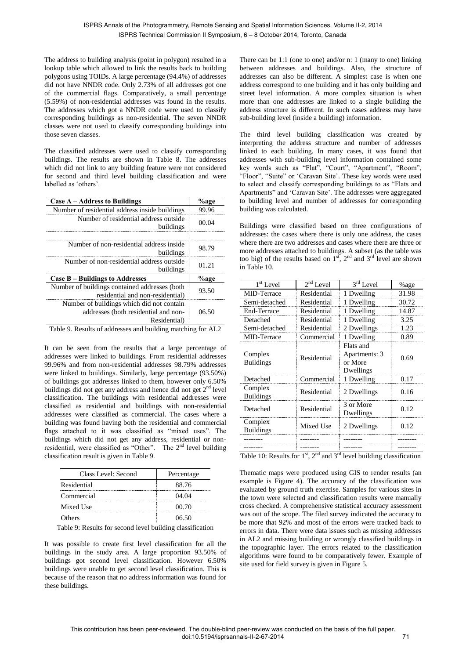The address to building analysis (point in polygon) resulted in a lookup table which allowed to link the results back to building polygons using TOIDs. A large percentage (94.4%) of addresses did not have NNDR code. Only 2.73% of all addresses got one of the commercial flags. Comparatively, a small percentage (5.59%) of non-residential addresses was found in the results. The addresses which got a NNDR code were used to classify corresponding buildings as non-residential. The seven NNDR classes were not used to classify corresponding buildings into those seven classes.

The classified addresses were used to classify corresponding buildings. The results are shown in Table 8. The addresses which did not link to any building feature were not considered for second and third level building classification and were labelled as 'others'.

| Case A – Address to Buildings                                                                     | %age  |
|---------------------------------------------------------------------------------------------------|-------|
| Number of residential address inside buildings                                                    | 99 96 |
| Number of residential address outside<br>buildings                                                | 00.04 |
| Number of non-residential address inside<br>buildings                                             | 98.79 |
| Number of non-residential address outside<br>buildings                                            | 01.21 |
| Case B – Buildings to Addresses                                                                   | %age  |
| Number of buildings contained addresses (both<br>residential and non-residential)                 | 93.50 |
| Number of buildings which did not contain<br>addresses (both residential and non-<br>Residential) | 06.50 |

Table 9. Results of addresses and building matching for AL2

It can be seen from the results that a large percentage of addresses were linked to buildings. From residential addresses 99.96% and from non-residential addresses 98.79% addresses were linked to buildings. Similarly, large percentage (93.50%) of buildings got addresses linked to them, however only 6.50% buildings did not get any address and hence did not get  $2<sup>nd</sup>$  level classification. The buildings with residential addresses were classified as residential and buildings with non-residential addresses were classified as commercial. The cases where a building was found having both the residential and commercial flags attached to it was classified as "mixed uses". The buildings which did not get any address, residential or nonresidential, were classified as "Other". The  $2<sup>nd</sup>$  level building classification result is given in Table 9.

| Class Level: Second | Percentage |  |
|---------------------|------------|--|
| Residential         | 88.76      |  |
| Commercial          | 04.04      |  |
| Mixed Use           | 00.70      |  |
| <b>Others</b>       | 06.50      |  |

Table 9: Results for second level building classification

It was possible to create first level classification for all the buildings in the study area. A large proportion 93.50% of buildings got second level classification. However 6.50% buildings were unable to get second level classification. This is because of the reason that no address information was found for these buildings.

There can be 1:1 (one to one) and/or n: 1 (many to one) linking between addresses and buildings. Also, the structure of addresses can also be different. A simplest case is when one address correspond to one building and it has only building and street level information. A more complex situation is when more than one addresses are linked to a single building the address structure is different. In such cases address may have sub-building level (inside a building) information.

The third level building classification was created by interpreting the address structure and number of addresses linked to each building. In many cases, it was found that addresses with sub-building level information contained some key words such as "Flat", "Court", "Apartment", "Room", "Floor", "Suite" or 'Caravan Site'. These key words were used to select and classify corresponding buildings to as "Flats and Apartments" and "Caravan Site". The addresses were aggregated to building level and number of addresses for corresponding building was calculated.

Buildings were classified based on three configurations of addresses: the cases where there is only one address, the cases where there are two addresses and cases where there are three or more addresses attached to buildings. A subset (as the table was too big) of the results based on  $1<sup>st</sup>$ ,  $2<sup>nd</sup>$  and  $3<sup>rd</sup>$  level are shown in Table 10.

| $1st$ Level                 | $2nd$ Level | $3rd$ Level                                        | %age  |
|-----------------------------|-------------|----------------------------------------------------|-------|
| MID-Terrace                 | Residential | 1 Dwelling                                         | 31.98 |
| Semi-detached               | Residential | 1 Dwelling                                         | 30.72 |
| End-Terrace                 | Residential | 1 Dwelling                                         | 14.87 |
| Detached                    | Residential | 1 Dwelling                                         | 3.25  |
| Semi-detached               | Residential | 2 Dwellings                                        | 1.23  |
| MID-Terrace                 | Commercial  | 1 Dwelling                                         | 0.89  |
| Complex<br><b>Buildings</b> | Residential | Flats and<br>Apartments: 3<br>or More<br>Dwellings | 0.69  |
| Detached                    | Commercial  | 1 Dwelling                                         | 0.17  |
| Complex<br><b>Buildings</b> | Residential | 2 Dwellings                                        | 0.16  |
| Detached                    | Residential | 3 or More<br>Dwellings                             | 0.12  |
| Complex<br><b>Buildings</b> | Mixed Use   | 2 Dwellings                                        | 0.12  |
|                             |             |                                                    |       |
|                             |             |                                                    |       |

Table 10: Results for  $1<sup>st</sup>$ ,  $2<sup>nd</sup>$  and  $3<sup>rd</sup>$  level building classification

Thematic maps were produced using GIS to render results (an example is Figure 4). The accuracy of the classification was evaluated by ground truth exercise. Samples for various sites in the town were selected and classification results were manually cross checked. A comprehensive statistical accuracy assessment was out of the scope. The filed survey indicated the accuracy to be more that 92% and most of the errors were tracked back to errors in data. There were data issues such as missing addresses in AL2 and missing building or wrongly classified buildings in the topographic layer. The errors related to the classification algorithms were found to be comparatively fewer. Example of site used for field survey is given in Figure 5.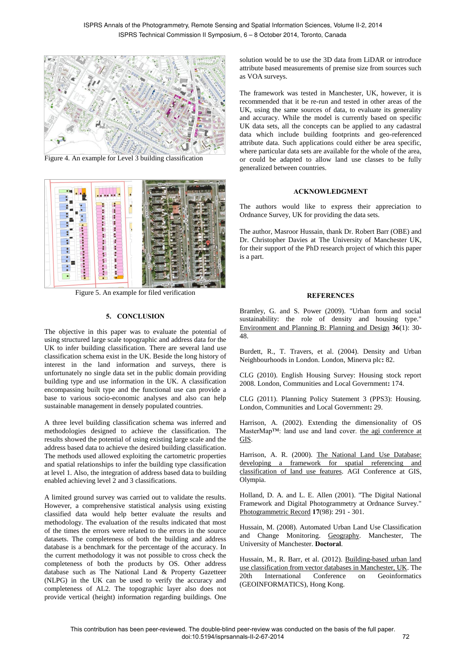

Figure 4. An example for Level 3 building classification



Figure 5. An example for filed verification

#### **5. CONCLUSION**

The objective in this paper was to evaluate the potential of using structured large scale topographic and address data for the UK to infer building classification. There are several land use classification schema exist in the UK. Beside the long history of interest in the land information and surveys, there is unfortunately no single data set in the public domain providing building type and use information in the UK. A classification encompassing built type and the functional use can provide a base to various socio-economic analyses and also can help sustainable management in densely populated countries.

A three level building classification schema was inferred and methodologies designed to achieve the classification. The results showed the potential of using existing large scale and the address based data to achieve the desired building classification. The methods used allowed exploiting the cartometric properties and spatial relationships to infer the building type classification at level 1. Also, the integration of address based data to building enabled achieving level 2 and 3 classifications.

A limited ground survey was carried out to validate the results. However, a comprehensive statistical analysis using existing classified data would help better evaluate the results and methodology. The evaluation of the results indicated that most of the times the errors were related to the errors in the source datasets. The completeness of both the building and address database is a benchmark for the percentage of the accuracy. In the current methodology it was not possible to cross check the completeness of both the products by OS. Other address database such as The National Land & Property Gazetteer (NLPG) in the UK can be used to verify the accuracy and completeness of AL2. The topographic layer also does not provide vertical (height) information regarding buildings. One

solution would be to use the 3D data from LiDAR or introduce attribute based measurements of premise size from sources such as VOA surveys.

The framework was tested in Manchester, UK, however, it is recommended that it be re-run and tested in other areas of the UK, using the same sources of data, to evaluate its generality and accuracy. While the model is currently based on specific UK data sets, all the concepts can be applied to any cadastral data which include building footprints and geo-referenced attribute data. Such applications could either be area specific, where particular data sets are available for the whole of the area, or could be adapted to allow land use classes to be fully generalized between countries.

#### **ACKNOWLEDGMENT**

The authors would like to express their appreciation to Ordnance Survey, UK for providing the data sets.

The author, Masroor Hussain, thank Dr. Robert Barr (OBE) and Dr. Christopher Davies at The University of Manchester UK, for their support of the PhD research project of which this paper is a part.

#### **REFERENCES**

Bramley, G. and S. Power (2009). "Urban form and social sustainability: the role of density and housing type." Environment and Planning B: Planning and Design **36**(1): 30- 48.

Burdett, R., T. Travers, et al. (2004). Density and Urban Neighbourhoods in London. London, Minerva plc**:** 82.

CLG (2010). English Housing Survey: Housing stock report 2008. London, Communities and Local Government**:** 174.

CLG (2011). Planning Policy Statement 3 (PPS3): Housing. London, Communities and Local Government**:** 29.

Harrison, A. (2002). Extending the dimensionality of OS MasterMap™: land use and land cover. the agi conference at GIS.

Harrison, A. R. (2000). The National Land Use Database: developing a framework for spatial referencing and classification of land use features. AGI Conference at GIS, Olympia.

Holland, D. A. and L. E. Allen (2001). "The Digital National Framework and Digital Photogrammetry at Ordnance Survey." Photogrammetric Record **17**(98): 291 - 301.

Hussain, M. (2008). Automated Urban Land Use Classification and Change Monitoring. Geography. Manchester, The University of Manchester. **Doctoral**.

Hussain, M., R. Barr, et al. (2012). Building-based urban land use classification from vector databases in Manchester, UK. The 20th International Conference on Geoinformatics (GEOINFORMATICS), Hong Kong.